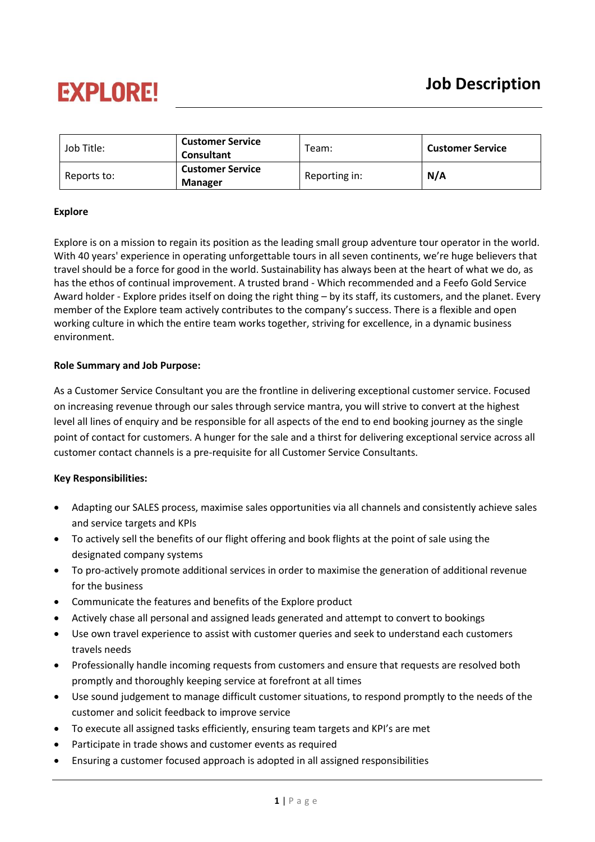# **EXPLORE!**

| Job Title:  | <b>Customer Service</b><br><b>Consultant</b> | Team:         | <b>Customer Service</b> |
|-------------|----------------------------------------------|---------------|-------------------------|
| Reports to: | <b>Customer Service</b><br><b>Manager</b>    | Reporting in: | N/A                     |

#### **Explore**

Explore is on a mission to regain its position as the leading small group adventure tour operator in the world. With 40 years' experience in operating unforgettable tours in all seven continents, we're huge believers that travel should be a force for good in the world. Sustainability has always been at the heart of what we do, as has the ethos of continual improvement. A trusted brand - Which recommended and a Feefo Gold Service Award holder - Explore prides itself on doing the right thing – by its staff, its customers, and the planet. Every member of the Explore team actively contributes to the company's success. There is a flexible and open working culture in which the entire team works together, striving for excellence, in a dynamic business environment.

#### **Role Summary and Job Purpose:**

As a Customer Service Consultant you are the frontline in delivering exceptional customer service. Focused on increasing revenue through our sales through service mantra, you will strive to convert at the highest level all lines of enquiry and be responsible for all aspects of the end to end booking journey as the single point of contact for customers. A hunger for the sale and a thirst for delivering exceptional service across all customer contact channels is a pre-requisite for all Customer Service Consultants.

#### **Key Responsibilities:**

- Adapting our SALES process, maximise sales opportunities via all channels and consistently achieve sales and service targets and KPIs
- To actively sell the benefits of our flight offering and book flights at the point of sale using the designated company systems
- To pro-actively promote additional services in order to maximise the generation of additional revenue for the business
- Communicate the features and benefits of the Explore product
- Actively chase all personal and assigned leads generated and attempt to convert to bookings
- Use own travel experience to assist with customer queries and seek to understand each customers travels needs
- Professionally handle incoming requests from customers and ensure that requests are resolved both promptly and thoroughly keeping service at forefront at all times
- Use sound judgement to manage difficult customer situations, to respond promptly to the needs of the customer and solicit feedback to improve service
- To execute all assigned tasks efficiently, ensuring team targets and KPI's are met
- Participate in trade shows and customer events as required
- Ensuring a customer focused approach is adopted in all assigned responsibilities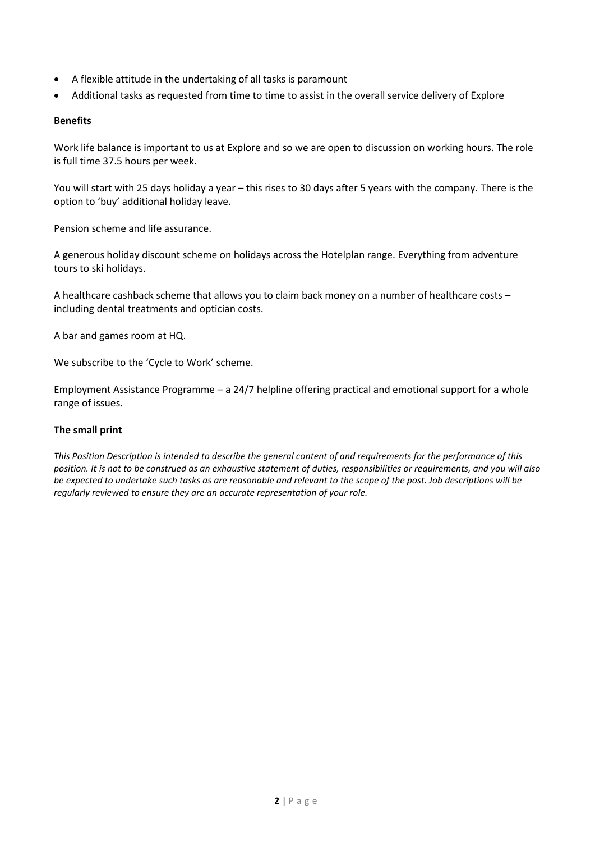- A flexible attitude in the undertaking of all tasks is paramount
- Additional tasks as requested from time to time to assist in the overall service delivery of Explore

#### **Benefits**

Work life balance is important to us at Explore and so we are open to discussion on working hours. The role is full time 37.5 hours per week.

You will start with 25 days holiday a year – this rises to 30 days after 5 years with the company. There is the option to 'buy' additional holiday leave.

Pension scheme and life assurance.

A generous holiday discount scheme on holidays across the Hotelplan range. Everything from adventure tours to ski holidays.

A healthcare cashback scheme that allows you to claim back money on a number of healthcare costs – including dental treatments and optician costs.

A bar and games room at HQ.

We subscribe to the 'Cycle to Work' scheme.

Employment Assistance Programme – a 24/7 helpline offering practical and emotional support for a whole range of issues.

#### **The small print**

*This Position Description is intended to describe the general content of and requirements for the performance of this position. It is not to be construed as an exhaustive statement of duties, responsibilities or requirements, and you will also be expected to undertake such tasks as are reasonable and relevant to the scope of the post. Job descriptions will be regularly reviewed to ensure they are an accurate representation of your role.*